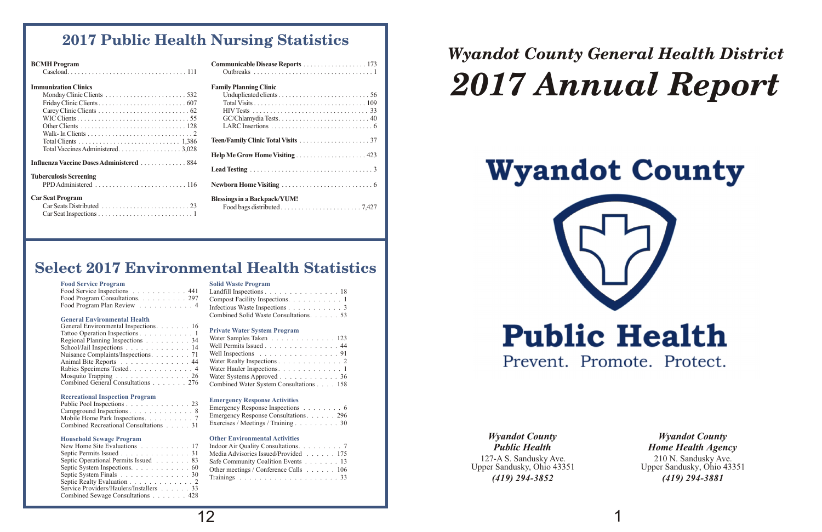#### **Food Service Program Solid Waste Program**

#### **General Environmental Health**

#### **Private Water System Program**

#### **Recreational Inspection Program Emergency Response Activities**

#### **Household Sewage Program Other Environmental Activities**

| Food Service Inspections 441 Landfill Inspections 18            |  |
|-----------------------------------------------------------------|--|
| Food Program Consultations. 297 Compost Facility Inspections. 1 |  |
|                                                                 |  |

|                                                                                      | Food Service Inspections 441 Landfill Inspections 18                                                    |
|--------------------------------------------------------------------------------------|---------------------------------------------------------------------------------------------------------|
|                                                                                      | Food Program Consultations. 297 Compost Facility Inspections. 1                                         |
|                                                                                      | Food Program Plan Review $\ldots \ldots \ldots$ 4 Infectious Waste Inspections $\ldots \ldots \ldots$ 3 |
| $O_{\text{max}}$ and $P_{\text{max}}$ is a sequence of $\mathbf{H}$ and $\mathbf{H}$ | Combined Solid Waste Consultations. 53                                                                  |

| General Environmental Inspections. 16                     |                                                                 |
|-----------------------------------------------------------|-----------------------------------------------------------------|
| Tattoo Operation Inspections 1                            | <b>Private Water System Program</b>                             |
|                                                           | Water Samples Taken 123                                         |
| Regional Planning Inspections 34                          |                                                                 |
| School/Jail Inspections 14                                | Well Permits Issued 44                                          |
| Nuisance Complaints/Inspections. 71                       | Well Inspections $\ldots \ldots \ldots \ldots \ldots \ldots$ 91 |
| Animal Bite Reports 44                                    | Water Realty Inspections 2                                      |
| Rabies Specimens Tested. 4                                | Water Hauler Inspections. 1                                     |
| Mosquito Trapping $\ldots \ldots \ldots \ldots \ldots 26$ | Water Systems Approved 36                                       |
| Combined General Consultations 276                        | Combined Water System Consultations 158                         |

| $1$ alloo $\bigcup$ $\bigcup$ alloi $\bigcup$ $\bigcup$ $\bigcup$ $\bigcup$ $\bigcup$ $\bigcup$ $\bigcup$ $\bigcup$ $\bigcup$ $\bigcup$ $\bigcup$ $\bigcup$ $\bigcup$ $\bigcup$ $\bigcup$ $\bigcup$ $\bigcup$ $\bigcup$ $\bigcup$ $\bigcup$ $\bigcup$ $\bigcup$ $\bigcup$ $\bigcup$ $\bigcup$ $\bigcup$ $\bigcup$ $\bigcup$ $\bigcup$ $\bigcup$ $\bigcup$ $\bigcup$ | Water Samples Taken 123                                         |
|---------------------------------------------------------------------------------------------------------------------------------------------------------------------------------------------------------------------------------------------------------------------------------------------------------------------------------------------------------------------|-----------------------------------------------------------------|
| Regional Planning Inspections 34                                                                                                                                                                                                                                                                                                                                    |                                                                 |
| School/Jail Inspections 14                                                                                                                                                                                                                                                                                                                                          | Well Permits Issued 44                                          |
| Nuisance Complaints/Inspections. 71                                                                                                                                                                                                                                                                                                                                 | Well Inspections $\ldots \ldots \ldots \ldots \ldots \ldots$ 91 |
| Animal Bite Reports 44                                                                                                                                                                                                                                                                                                                                              | Water Realty Inspections 2                                      |
| Rabies Specimens Tested4                                                                                                                                                                                                                                                                                                                                            |                                                                 |
| Mosquito Trapping $\ldots \ldots \ldots \ldots \ldots 26$                                                                                                                                                                                                                                                                                                           | Water Systems Approved 36                                       |
| Combined General Consultations 276                                                                                                                                                                                                                                                                                                                                  | Combined Water System Consultations 158                         |
|                                                                                                                                                                                                                                                                                                                                                                     |                                                                 |

| Emergency Response Inspections 6      |
|---------------------------------------|
| Emergency Response Consultations. 296 |
| Exercises / Meetings / Training 30    |

| Public Pool Inspections 23             | <b>EMAILY Response Activities</b>  |
|----------------------------------------|------------------------------------|
|                                        | Emergency Response Inspections 6   |
| Mobile Home Park Inspections. 7        |                                    |
| Combined Recreational Consultations 31 | Exercises / Meetings / Training 30 |

|                                                                                                                     | New Home Site Evaluations 17 Indoor Air Quality Consultations. 7 |
|---------------------------------------------------------------------------------------------------------------------|------------------------------------------------------------------|
|                                                                                                                     | Septic Permits Issued 31 Media Advisories Issued/Provided 175    |
| Septic Operational Permits Issued 83                                                                                | Safe Community Coalition Events 13                               |
| Septic System Inspections. $\ldots \ldots \ldots \ldots 60$                                                         | Other meetings / Conference Calls $\ldots \ldots \ldots 106$     |
| Septic System Finals $\ldots \ldots \ldots \ldots \ldots 30$                                                        |                                                                  |
| $\alpha$ , and $\alpha$ is the set of $\alpha$ is the set of $\alpha$ is the set of $\alpha$ is the set of $\alpha$ |                                                                  |



| New Home Site Evaluations $\dots \dots \dots \dots 17$ Indoor Air Quality Consultations. $\dots \dots \dots 7$ |                                       |
|----------------------------------------------------------------------------------------------------------------|---------------------------------------|
| Septic Permits Issued 31 Media Advisories Issued/Provided 175                                                  |                                       |
| Septic Operational Permits Issued 83                                                                           | Safe Community Coalition Events 13    |
| Septic System Inspections. 60                                                                                  | Other meetings / Conference Calls 106 |
| Septic System Finals 30                                                                                        |                                       |
| Septic Realty Evaluation 2                                                                                     |                                       |
| Service Providers/Haulers/Installers 33                                                                        |                                       |
| Combined Sewage Consultations 428                                                                              |                                       |
|                                                                                                                |                                       |

# **Select 2017 Environmental Health Statistics**

# *Wyandot County General Health District 2017 Annual Report*

# **Wyandot County**

127-A S. Sandusky Ave. Upper Sandusky, Ohio 43351 *(419) 294-3852*

## *Wyandot County Public Health*

210 N. Sandusky Ave. Upper Sandusky, Ohio 43351 *(419) 294-3881 Wyandot County Home Health Agency*

| <b>BCMH</b> Program         |                               |
|-----------------------------|-------------------------------|
| <b>Immunization Clinics</b> | <b>Family Planning Clinic</b> |
|                             |                               |
|                             |                               |
|                             |                               |
|                             |                               |
|                             |                               |
|                             |                               |
|                             |                               |

| VIH Program                                                                                                                             | Communicable Disease Reports 1/3    |
|-----------------------------------------------------------------------------------------------------------------------------------------|-------------------------------------|
|                                                                                                                                         |                                     |
| <b>1</b> unization Clinics                                                                                                              | <b>Family Planning Clinic</b>       |
|                                                                                                                                         |                                     |
|                                                                                                                                         |                                     |
|                                                                                                                                         |                                     |
|                                                                                                                                         |                                     |
|                                                                                                                                         |                                     |
|                                                                                                                                         |                                     |
|                                                                                                                                         |                                     |
| Total Vaccines Administered. 3,028                                                                                                      |                                     |
| <b>Lenza Vaccine Doses Administered  884</b>                                                                                            |                                     |
|                                                                                                                                         |                                     |
| erculosis Screening                                                                                                                     |                                     |
|                                                                                                                                         |                                     |
| <b>Seat Program</b>                                                                                                                     | <b>Blessings in a Backpack/YUM!</b> |
|                                                                                                                                         |                                     |
| Car Soot Ingnostiona<br>the contract of the contract of the contract of the contract of the contract of the contract of the contract of |                                     |

**Influenza Vaccine DosesAdministered** .............884

**Tuberculosis Screening**

**Car Seat Program** 

Car Seats Distributed .........................23 Food bags distributed .......................7,427 Car Seat Inspections ...........................1

# **2017 Public Health Nursing Statistics**

# 12 1

# **Public Health** Prevent. Promote. Protect.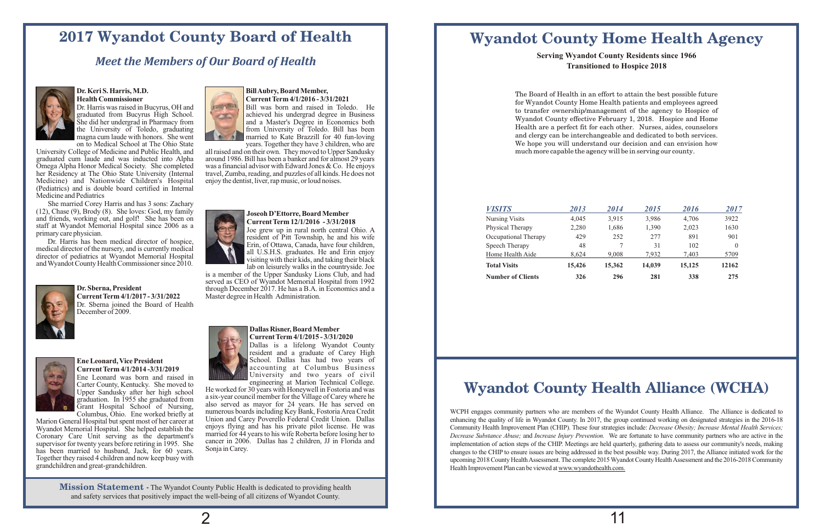#### **Mission Statement -** The Wyandot County Public Health is dedicated to providing health and safety services that positively impact the well-being of all citizens of Wyandot County.

# **Wyandot County Home Health Agency**

### **Serving Wyandot County Residents since 1966 Transitioned to Hospice 2018**

| <b>VISITS</b>            | 2013   | 2014   | 2015   | 2016   | 2017     |
|--------------------------|--------|--------|--------|--------|----------|
| <b>Nursing Visits</b>    | 4.045  | 3,915  | 3,986  | 4,706  | 3922     |
| Physical Therapy         | 2.280  | 1,686  | 1,390  | 2,023  | 1630     |
| Occupational Therapy     | 429    | 252    | 277    | 891    | 901      |
| Speech Therapy           | 48     |        | 31     | 102    | $\theta$ |
| Home Health Aide         | 8.624  | 9.008  | 7.932  | 7.403  | 5709     |
| <b>Total Visits</b>      | 15,426 | 15,362 | 14,039 | 15,125 | 12162    |
| <b>Number of Clients</b> | 326    | 296    | 281    | 338    | 275      |

## *Meet the Members of Our Board of Health*



# **Dr. Keri S. Harris, M.D.**<br> **BillAubry, Board Member,**<br> **BillAubry, Board Member,**<br> **Current Term 4/1/2016 - 3/3**

her Residency at The Ohio State University (Internal travel, Zumba, reading, and puzzles of all kinds. Medicine) and Nationwide Children's Hospital enjoy the dentist, liver, rap music, or loud noises. Medicine) and Nationwide Children's Hospital (Pediatrics) and is double board certified in Internal Medicine and Pediatrics

She married Corey Harris and has 3 sons: Zachary (12), Chase (9), Brody (8). She loves: God, my family (12), Chase (9), Brody (8). She loves: God, my family<br>and friends, working out, and golf! She has been on<br>staff at Wyandot Memorial Hospital since 2006 as a<br>primary care physician.<br>Dr. Harris has been medical director of h



is a member of the Upper Sandusky Lions Club, and had served as CEO of Wyandot Memorial Hospital from 1992 **Dr. Sberna, President** through December 2017. He has a B.A. in Economics and a **Current Term 4/1/2017 - 3/31/2022** Master degree in Health Administration. **Master degree in Health Administration.** 



Dallas is a lifelong Wyandot County resident and a graduate of Carey High **Ene Leonard, Vice President**<br> **Ene Leonard, Vice President**<br> **Ene Leonard, Vice President**<br> **Energy School.** Dallas has had two years of<br> **School.** Dallas has had two years of<br> **School.** Dallas has had two years of accounting at Columbus Business<br>University and two years of civil

Carter County, Kentucky. She moved to<br>
Upper Sandusky after her high school He worked for 30 years with Honeywell in Fostoria and was Upper Sandusky after her high school He worked for 30 years with Honeywell in Fostoria and was graduation. In 1955 she graduated from a six-year council member for the Village of Carey where he expect sandasky and the light school<br>graduation. In 1955 she graduated from a six-year council member for the Village of Carey where he<br>Grant Hospital School of Nursing, also served as mayor for 24 years. He has served on Grant Hospital School of Nursing, also served as mayor for 24 years. He has served on Columbus, Ohio. Ene worked briefly at numerous boards including Key Bank, Fostoria Area Credit numerous boards including Key Bank, Fostoria Area Credit Union and Carey Poverello Federal Credit Union. Dallas Marion General Hospital but spent most of her career at Union and Carey Poverello Federal Credit Union. Dallas General General Hospital She believed establish the enjoys flying and has his private pilot license. He was Wy and the Memorial Hospital. She helped establish the enjoys flying and has his private pilot license. He was corrently for a state of the department's married for 44 years to his wife Roberta before losing her to Coronary Care Unit serving as the department's married for 44 years to his wife Roberta before losing her to supervisor for twenty years before retiring in 1995. She cancer in 2006. Dallas has 2 children, JJ in Florida and

caper is to twenty years extended and supervisor for twenty years before retiring in 1995. She Sonja in Carey. Together they raised 4 children and now keep busy with grandchildren and great-grandchildren.



**Health Commissioner**<br>Dr. Harris was raised in Bucyrus, OH and<br>Bill was born and raised in Tole Dr. Harris was raised in Bucyrus, OH and Bill was born and raised in Toledo. He graduated from Bucyrus High School. graduated from Bucyrus High School. She did her undergrad in Pharmacy from and a Master's Degree in Economics both She did her undergrad in Pharmacy from and a Master's Degree in Economics both the University of Toledo, graduating from University of Toledo. Bill has been the University of Toledo, graduating from University of Toledo. Bill has been<br>magna cum laude with honors. She went married to Kate Brazzill for 40 fun-loving magna cum laude with honors. She went married to Kate Brazzill for 40 fun-loving<br>on to Medical School at The Ohio State<br>wears. Together they have 3 children, who are

on to Medical School at The Ohio State years. Together they have 3 children, who are<br>University College of Medicine and Public Health, and all raised and on their own. They moved to Upper Sandusky University College of Medicine and Public Health, and all raised and on their own. They moved to Upper Sandusky graduated cum laude and was inducted into Alpha around 1986. Bill has been a banker and for almost 29 years graduated cum laude and was inducted into Alpha around 1986. Bill has been a banker and for almost 29 years<br>Omega Alpha Honor Medical Society. She completed was a financial advisor with Edward Jones & Co. He enjoys was a financial advisor with Edward Jones & Co. He enjoys travel, Zumba, reading, and puzzles of all kinds. He does not



Dr. Sberna joined the Board of Health December of 2009.



Ene Leonard was born and raised in Carter County, Kentucky. She moved to

#### **Dallas Risner, Board Member CurrentTerm 4/1/2015 - 3/31/2020**

# **2017 Wyandot County Board of Health**

The Board of Health in an effort to attain the best possible future for Wyandot County Home Health patients and employees agreed to transfer ownership/management of the agency to Hospice of Wyandot County effective February 1, 2018. Hospice and Home Health are a perfect fit for each other. Nurses, aides, counselors and clergy can be interchangeable and dedicated to both services. We hope you will understand our decision and can envision how much more capable the agency will be in serving our county.

# **Wyandot County Health Alliance (WCHA)**

WCPH engages community partners who are members of the Wyandot County Health Alliance. The Alliance is dedicated to enhancing the quality of life in Wyandot County. In 2017, the group continued working on designated strategies in the 2016-18 Community Health Improvement Plan (CHIP). These four strategies include: *Decrease Obesity; Increase Mental Health Services; Decrease Substance Abuse;* and *Increase Injury Prevention.* We are fortunate to have community partners who are active in the implementation of action steps of the CHIP. Meetings are held quarterly, gathering data to assess our community's needs, making changes to the CHIP to ensure issues are being addressed in the best possible way. During 2017, the Alliance initiated work for the upcoming 2018 County HealthAssessment.The complete 2015Wyandot County HealthAssessment and the 2016-2018 Community Health Improvement Plan can be viewed at www.wyandothealth.com.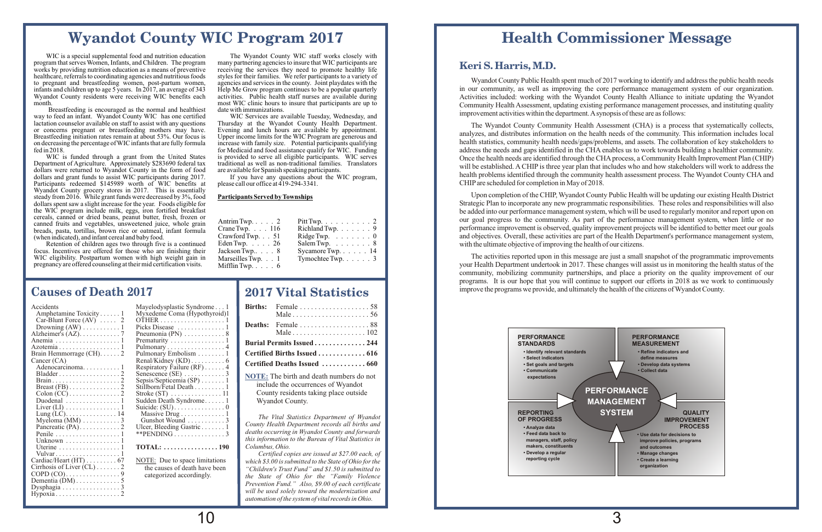Department of Agriculture. Approximately \$283690 federal tax traditional as well as non-traditional families.<br>dollars were returned to Wyandot County in the form of food are available for Spanish speaking participants. dollars were returned to Wyandot County in the form of food are available for Spanish speaking participants.<br>dollars and grant funds to assist WIC participants during 2017. If you have any questions about the WIC program, dollars and grant funds to assist WIC participants during 2017. If you have any questions about Participants redeemed \$145989 worth of WIC benefits at please call our office at 419-294-3341. Participants redeemed \$145989 worth of WIC benefits at Wyandot County grocery stores in 2017. This is essentially steady from 2016. While grant funds were decreased by 3%, food **Participants Served by Townships** dollars spent saw a slight increase for the year. Foods eligible for the WIC program include milk, eggs, iron fortified breakfast cereals, canned or dried beans, peanut butter, fresh, frozen or canned fruits and vegetables, unsweetened juice, whole grain breads, pasta, tortillas, brown rice or oatmeal, infant formula (when indicated), and infant cereal and baby food.

Retention of children ages two through five is a continued focus. Incentives are offered for those who are finishing their WIC eligibility. Postpartum women with high weight gain in pregnancy are offered counseling at their mid certification visits.

most WIC clinic hours to insure that participants are up to date with immunizations.

Upper income limits for the WIC Program are generous and increase with family size. Potential participants qualifying for Medicaid and food assistance qualify for WIC. Funding is provided to serve all eligible participants. WIC serves WIC is funded through a grant from the United States is provided to serve all eligible participants. WIC serves artment of Agriculture. Approximately \$283690 federal tax traditional as well as non-traditional families. Tra

# **Wyandot County WIC Program 2017**

WIC is a special supplemental food and nutrition education The Wyandot County WIC staff works closely with gram that serves Women, Infants, and Children. The program many partnering agencies to insure that WIC participants program that serves Women, Infants, and Children. The program many partnering agencies to insure that WIC participants are works by providing nutrition education as a means of preventive receiving the services they need to promote healthy life<br>healthcare, referrals to coordinating agencies and nutritious foods styles for their families. We ref healthcare, referrals to coordinating agencies and nutritious foods styles for their families. We refer participants to a variety of to pregnant and breastfeeding women, post-partum women, agencies and services in the coun to pregnant and breastfeeding women, post-partum women, agencies and services in the county. Joint playdates with the infants and children up to age 5 years. In 2017, an average of 343 Help Me Grow program continues to be infants and children up to age 5 years. In 2017, an average of 343 Help Me Grow program continues to be a popular quarterly Wyandot County residents were receiving WIC benefits each activities. Public health staff nurses a Wyandot County residents were receiving WIC benefits each month.

Breastfeeding is encouraged as the normal and healthiest date with immunizations.<br>to feed an infant. Wyandot County WIC has one certified WIC Services are available Tuesday, Wednesday, and way to feed an infant. Wyandot County WIC has one certified WIC Services are available Tuesday, Wednesday, and lactation counselor available on staff to assist with any questions Thursday at the Wyandot County Health Depar lactation counselor available on staff to assist with any questions Thursday at the Wyandot County Health Department. or concerns pregnant or breastfeeding mothers may have. Breastfeeding initiation rates remain at about 53%. Our focus is on decreasing the percentage of WIC infants that are fully formula fed in 2018.

| Antrim Twp. $\ldots$ . 2  | Pitt Twp. $\ldots \ldots \ldots 2$  |
|---------------------------|-------------------------------------|
| Crane Twp. $\ldots$ 116   | Richland Twp. $\ldots$ 9            |
| Crawford Twp. $\ldots$ 51 | Ridge Twp. $\ldots \ldots \ldots 0$ |
| Eden Twp. $\ldots$ . 26   | Salem Twp. $\ldots \ldots \ldots 8$ |
| Jackson Twp $8$           | Sycamore Twp. $\ldots$ $\ldots$ 14  |
| Marseilles Twp. 1         | Tymochtee Twp. $\ldots$ $\ldots$ 3  |
| Mifflin Twp. $\ldots$ . 6 |                                     |

*The Vital Statistics Department of Wyandot County Health Department records all births and deaths occurring in Wyandot County and forwards this information to the Bureau of Vital Statistics in Columbus, Ohio.*

*Certified copies are issued at \$27.00 each, of which \$3.00 is submitted to the State of Ohio for the "Children's Trust Fund" and \$1.50 is submitted to the State of Ohio for the "Family Violence Prevention Fund." Also, \$9.00 of each certificate will be used solely toward the modernization and automation of the system of vital records in Ohio.*

## **2017 Vital Statistics**

| Male $\ldots \ldots \ldots \ldots \ldots \ldots \ldots 56$ |
|------------------------------------------------------------|
|                                                            |
| Burial Permits Issued 244                                  |
| Certified Births Issued  616                               |
|                                                            |
| NOTE: The hirth and death numbers do not                   |

**NOTE:** The birth and death numbers do not include the occurrences of Wyandot County residents taking place outside Wyandot County.

| Accidents                                                          |
|--------------------------------------------------------------------|
| Amphetamine Toxicity 1                                             |
| Car-Blunt Force $(AV)$ 2                                           |
|                                                                    |
| Alzheimer's $(AZ)$ . 7                                             |
| Anemia 1                                                           |
|                                                                    |
| Azotemia 1<br>Brain Hemmorrage (CH). 2                             |
| Cancer (CA)                                                        |
| Adenocarcinoma 1                                                   |
| $Bladder \ldots \ldots \ldots \ldots \ldots 2$                     |
|                                                                    |
| Breast $(FB) \ldots \ldots \ldots \ldots 2$                        |
| $\mathrm{Colon}\left(\mathrm{CC}\right)\dots\dots\dots\dots\dots2$ |
| Duodenal  1                                                        |
|                                                                    |
|                                                                    |
|                                                                    |
| Pancreatic $(PA)$ . 2                                              |
| Penile 1                                                           |
| Unknown $\dots\dots\dots\dots\dots\dots$                           |
| Uterine  1                                                         |
| Vulvar                                                             |
| Cardiac/Heart (HT) 67                                              |
| Cirrhosis of Liver (CL) 2                                          |
|                                                                    |
|                                                                    |
| Dysphagia $\ldots \ldots \ldots \ldots \ldots$                     |
| Hypoxia                                                            |
|                                                                    |

#### Mayelodysplastic Syndrome . . . 1 Myxedeme Coma (Hypothyroid)1 Car-Blunt Force (AV) ..... 2 OTHER ...................1 Picks Disease ................1 Pneumonia (PN)  $\dots \dots \dots \dots$  . 8 Anemia ...................1 Prematurity ................1 Pulmonary .........................4 Pulmonary Embolism . . . . . . . . 1  $\text{Renal/Kidney (KD)}$  . . . . . . . . . . 6 Respiratory Failure  $(RF)$  . . . . . . 4 Bladder ..................2 Senescence (SE) ............3 Sepsis/Septicemia (SP) .......1 Stillborn/Fetal Death . . . . . . . . . 1 Colon (CC) ...............2 Stroke (ST) ...............11 Sudden Death Syndrome...... 1 Liver (LI) ................1 Suicide: (SU)...............0 Lung (LC)...............14 Massive Drug.............1 Gunshot Wound .............3 Ulcer, Bleeding Gastric . . . . . . . 1 Penile ...................1 \*\*PENDING ...............3 Uterine ..................1 **TOTAL: ................190** NOTE: Due to space limitations the causes of death have been categorized accordingly.

## **Causes of Death 2017**

## **Keri S. Harris, M.D.**

Wyandot County Public Health spent much of 2017 working to identify and address the public health needs in our community, as well as improving the core performance management system of our organization. Activities included: working with the Wyandot County Health Alliance to initiate updating the Wyandot Community Health Assessment, updating existing performance management processes, and instituting quality improvement activities within the department.A synopsis of these are as follows:

The Wyandot County Community Health Assessment (CHA) is a process that systematically collects, analyzes, and distributes information on the health needs of the community. This information includes local health statistics, community health needs/gaps/problems, and assets. The collaboration of key stakeholders to address the needs and gaps identified in the CHA enables us to work towards building a healthier community. Once the health needs are identified through the CHA process, a Community Health Improvement Plan (CHIP) will be established. A CHIP is three year plan that includes who and how stakeholders will work to address the health problems identified through the community health assessment process. The Wyandot County CHA and CHIP are scheduled for completion in May of 2018.

Upon completion of the CHIP, Wyandot County Public Health will be updating our existing Health District Strategic Plan to incorporate any new programmatic responsibilities. These roles and responsibilities will also be added into our performance management system, which will be used to regularly monitor and report upon on our goal progress to the community. As part of the performance management system, when little or no performance improvement is observed, quality improvement projects will be identified to better meet our goals and objectives. Overall, these activities are part of the Health Department's performance management system, with the ultimate objective of improving the health of our citizens.

The activities reported upon in this message are just a small snapshot of the programmatic improvements your Health Department undertook in 2017. These changes will assist us in monitoring the health status of the community, mobilizing community partnerships, and place a priority on the quality improvement of our programs. It is our hope that you will continue to support our efforts in 2018 as we work to continuously improve the programs we provide, and ultimately the health of the citizens ofWyandot County.

# **Health Commissioner Message**

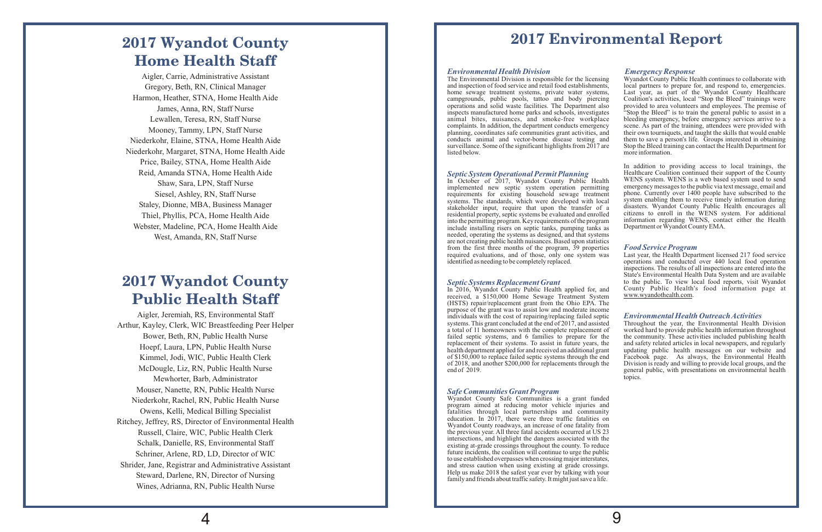#### *Environmental Health Division Emergency Response*

#### *Septic System Operational Permit Planning*

stakeholder input, require that upon the transfer of a into the permitting program. Key requirements of the program. include installing risers on septic tanks, pumping tanks as needed, operating the systems as designed, and that systems are not creating public health nuisances. Based upon statistics from the first three months of the program, 39 properties required evaluations, and of those, only one system was required evaluations, and of those, only one system was Last year, the Health Department licensed 217 food service identified as needing to be completely replaced.

#### *Food Service Program*

#### *Septic Systems Replacement Grant*

#### *Safe Communities Grant Program*

In addition to providing access to local trainings, the Healthcare Coalition continued their support of the County<br>WENS system. WENS is a web based system used to send In October of  $2017$ , Wyandot County Public Health WENS system. WENS is a web based system used to send implemented new sentic system operation permitting emergency messages to the public via text message, email and implemented new septic system operation permitting emergency messages to the public via text message, email and requirements for existing household sewage treatment phone. Currently over 1400 people have subscribed to the systems. The standards, which were developed with local system enabling them to receive timely information during disasters. Wyandot County Public Health encourages all citizens to enroll in the WENS system. For additional residential property, septic systems be evaluated and enrolled citizens to enroll in the WENS system. For additional into the permitting program Key requirements of the program information regarding WENS, contact either th Department or Wyandot County EMA.

The Environmental Division is responsible for the licensing Wyandot County Public Health continues to collaborate with local partners to prepare for, and respond to, emergencies. and inspection of food service and retail food establishments, home sewage treatment systems, private water systems, Last year, as part of the Wyandot County Healthcare campgrounds, public pools, tattoo and body piercing Coalition's activities, local "Stop the Bleed" trainings were Last year, as part of the Wyandot County Healthcare campgrounds, public pools, tattoo and body piercing operations and solid waste facilities. The Department also operations and solid waste facilities. The Department also provided to area volunteers and employees. The premise of inspects manufactured home parks and schools, investigates "Stop the Bleed" is to train the general publi animal bites, nuisances, and smoke-free workplace bleeding emergency, before emergency services arrive to a complaints. In addition, the department conducts emergency scene. As part of the training, attendees were provided complaints. In addition, the department conducts emergency scene. As part of the training, attendees were provided with planning, coordinates safe communities grant activities, and their own tourniquets, and taught the ski planning, coordinates safe communities grant activities, and their own tourniquets, and taught the skills that would enable conducts animal and vector-borne disease testing and them to save a person's life. Groups interest them to save a person's life. Groups interested in obtaining surveillance. Some of the significant highlights from 2017 are Stop the Bleed training can contact the Health Department for listed below . more information.

> operations and conducted over 440 local food operation inspections. The results of all inspections are entered into the State's Environmental Health Data System and are available to the public. To view local food reports, visit Wyandot

- 
- 
- 
- 
- 
- 
- 

*Environmental Health Outreach Activities* Equal County Public Health Applied for and<br>In 2016, Wyandot County Public Health's food information page at In 2016, Wyandot County Public Health's food information page at received, a \$150,000 Home Sewage Treatment System (HSTS) repair/replacement grant from the Ohio EPA. The purpose of the grant was to assist low and moderate income individuals with the cost of repairing/replacing failed septic systems. This grant concluded at the end of 2017, and assisted Throughout the year, the Environmental Health Division worked hard to provide public health information throughout a total of 11 homeowners with the complete replacement of worked hard to provide public health information throughout failed septic systems, and 6 families to prepare for the the community. These activities included publishing health replacement of their systems. To assist in future years, the health department applied for and received an additional grant and safety related articles in local newspapers, and regularly updating public health messages on our website and Facebook page. As always, the Environmental Health Division is ready and willing to provide local groups, and the of \$150,000 to replace failed septic systems through the end<br>of 2018, and another \$200,000 for replacements through the<br>end of 2019. eneral public, with presentations on environmental health topics.

Wyandot County Safe Communities is a grant funded program aimed at reducing motor vehicle injuries and fatalities through local partnerships and community education. In 2017, there were three traffic fatalities on Wyandot County roadways, an increase of one fatality from the previous year. All three fatal accidents occurred at US 23 intersections, and highlight the dangers associated with the existing at-grade crossings throughout the county. To reduce future incidents, the coalition will continue to urge the public to use established overpasses when crossing major interstates, and stress caution when using existing at grade crossings. Help us make 2018 the safest year ever by talking with your family and friends about traffic safety. It might just save a life.

# **2017 Environmental Report**

# **2017 Wyandot County Home Health Staff**

# **2017 Wyandot County Public Health Staff**

Aigler, Carrie, Administrative Assistant Gregory, Beth, RN, Clinical Manager Harmon, Heather, STNA, Home Health Aide James, Anna, RN, Staff Nurse Lewallen, Teresa, RN, Staff Nurse Mooney, Tammy, LPN, Staff Nurse Niederkohr, Elaine, STNA, Home Health Aide Niederkohr, Margaret, STNA, Home Health Aide Price, Bailey, STNA, Home Health Aide Reid, Amanda STNA, Home Health Aide Shaw, Sara, LPN, Staff Nurse Siesel, Ashley, RN, Staff Nurse Staley, Dionne, MBA, Business Manager Thiel, Phyllis, PCA, Home Health Aide Webster, Madeline, PCA, Home Health Aide West, Amanda, RN, Staff Nurse

Aigler, Jeremiah, RS, Environmental Staff Arthur, Kayley, Clerk, WIC Breastfeeding Peer Helper Bower, Beth, RN, Public Health Nurse Hoepf, Laura, LPN, Public Health Nurse Kimmel, Jodi, WIC, Public Health Clerk McDougle, Liz, RN, Public Health Nurse Mewhorter, Barb, Administrator Mouser, Nanette, RN, Public Health Nurse Niederkohr, Rachel, RN, Public Health Nurse Owens, Kelli, Medical Billing Specialist Ritchey, Jeffrey, RS, Director of Environmental Health Russell, Claire, WIC, Public Health Clerk Schalk, Danielle, RS, Environmental Staff Schriner, Arlene, RD, LD, Director of WIC Shrider, Jane, Registrar and Administrative Assistant Steward, Darlene, RN, Director of Nursing Wines, Adrianna, RN, Public Health Nurse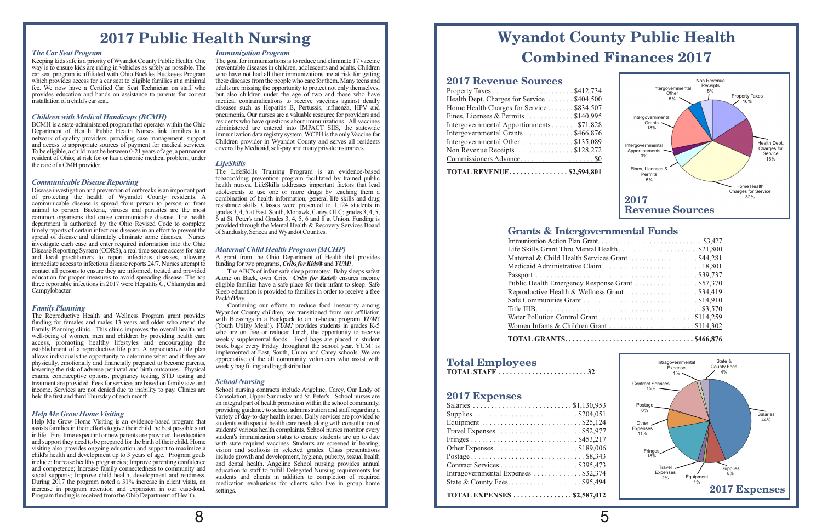## **Grants & Intergovernmental Funds**

| Maternal & Child Health Services Grant\$44,281   |  |
|--------------------------------------------------|--|
|                                                  |  |
|                                                  |  |
| Public Health Emergency Response Grant  \$57,370 |  |
|                                                  |  |
| Safe Communities Grant \$14,910                  |  |
|                                                  |  |
|                                                  |  |
|                                                  |  |
|                                                  |  |

**TOTAL GRANTS...................................\$466,876**

## **2017 Expenses**

*Family Planning* The Reproductive Health and wellness Program gram provides<br>
funding for females and males 13 years and older who attend the<br>
Family Planning clinic. This clinic improves the overall health and<br>
well-being of women, men and establishment of a reproductive life plan. A reproductive life plan<br>allows individuals the opportunity to determine when and if they are<br>physically, emotionally and financially prepared to become parents,<br>lowering the risk exams, contraceptive options, pregnancy testing, STD testing and treatment are provided. Fees for services are based on family size and income. Services are not denied due to inability to pay. Clinics are held the first and third Thursday of each month.

| Intragovernmental Expenses  \$32,374                     |
|----------------------------------------------------------|
|                                                          |
| TOTAL EXPENSES $\ldots \ldots \ldots \ldots$ \$2,587,012 |

#### **2017 Revenue Sources**

| Health Dept. Charges for Service \$404,500 |
|--------------------------------------------|
| Home Health Charges for Service \$834,507  |
| Fines, Licenses & Permits \$140,995        |
| Intergovernmental Apportionments \$71,828  |
| Intergovernmental Grants \$466,876         |
| Intergovernmental Other \$135,089          |
| Non Revenue Receipts \$128,272             |
|                                            |
| <b>TOTAL REVENUE \$2,594,801</b>           |

BCMH is a state-administered program that operates within the Ohio<br>Department of Health. Public Health Nurses link families to a<br>network of quality providers, providing case management, support<br>and access to appropriate so resident of Ohio; at risk for or has a chronic medical problem; under the care of a CMH provider.

The LifeSkills Training Program is an evidence-based tobacco/drug prevention program facilitated by trained public health nurses. LifeSkills addresses important factors that lead adolescents to use one or more drugs by teaching them a provided through the Mental Health & Recovery Services Board<br>of Sandusky, Seneca and Wyandot Counties.

## **Total Employees**

**TOTAL STAFF ........................32**

# **2017 Public Health Nursing**

way is to ensure kids are riding in vehicles as safely as possible. The preventable diseases in children, adolescents and adults. Children car seat program is affiliated with Ohio Buckles Buckeyes Program who have not had car seat program is affiliated with Ohio Buckles Buckeyes Program which provides access for a car seat to eligible families at a minimal which provides access for a car seat to eligible families at a minimal these diseases from the people who care for them. Many teens and fee. We now have a Certified Car Seat Technician on staff who adults are missing the o fee. We now have a Certified Car Seat Technician on staff who adults are missing the opportunity to protect not only themselves, provides education and hands on assistance to parents for correct but also children under the provides education and hands on assistance to parents for correct but also children under the age of two and those who have<br>installation of a child's car seat.

#### *Children with Medical Handicaps (BCMH)*

#### *LifeSkills*

#### *Communicable Disease Reporting*

Disease investigation and prevention of outbreaks is an important part of protecting the health of Wyandot County residents. A of protecting the health of Wyandot County residents. A combination of health information, general life skills and drug<br>communicable disease is spread from person to person or from resistance skills. Classes were presented communicable disease is spread from person to person or from resistance skills. Classes were presented to 1,124 students in animal to person. Bacteria, viruses and parasites are the most grades 3 4 5 at East South Mohawk C animal to person. Bacteria, viruses and parasites are the most grades 3, 4, 5 at East, South, Mohawk, Carey, OLC; grades 3, 4, 5, common organisms that cause communicable disease. The health 6 at St Peter's and Grades 3, 4 common organisms that cause communicable disease. The health  $\overrightarrow{6}$  at St. Peter's and Grades 3, 4, 5, 6 and 8 at Union. Funding is department is authorized by the Ohio Revised Code to complete provided through the Ment timely reports of certain infectious diseases in an effort to prevent the spread of disease and ultimately eliminate some diseases. Nurses investigate each case and enter required information into the Ohio Disease Reporting System (ODRS), a real time secure access for state and local practitioners to report infectious diseases, allowing A grant from the Ohio Department of Health that immediate access to infectious disease reports 24/7. Nurses attempt to funding for two programs, *Cribs for Ki* immediate access to infectious disease reports 24/7. Nurses attempt to funding fortwo programs,*Cribs for Kids®* and*YUM!*. contact all persons to ensure they are informed, treated and provided The ABC's of infant safe sleep promotes: Baby sleeps safest education for proper measures to avoid spreading disease. The top Alone on Back, own Crib. C education for proper measures to avoid spreading disease. The top **A**lone on **B**ack, own **C**rib. *Cribs for Kids®* ensures income three reportable infections in 2017 were Hepatitis C, Chlamydia and Campylobacter.

## *Maternal Child Health Program (MCHP)*

*The Car Seat Program Immunization Program* Keeping kids safe is a priority of Wyandot County Public Health. One The goal for immunizations is to reduce and eliminate 17 vaccine way is to ensure kids are riding in vehicles as safely as possible. The preventable dise medical contraindications to receive vaccines against deadly diseases such as Hepatitis B, Pertussis, influenza, HPV and pneumonia. Our nurses are a valuable resource for providers and

> Sleep education is provided to families in order to receive a free Pack'n'Play.

Continuing our efforts to reduce food insecurity among Wyandot County children, we transitioned from our affiliation

*School Nursing*<br>School nursing contracts include Angeline, Carey, Our Lady of Consolation, Upper Sandusky and St. Peter's. School nurses are an integral part of health promotion within the school community, providing guidance to school administration and staff regarding a variety of day-to-day health issues. Daily services are provided to medication evaluations for clients who live in group home settings.

*Help Me Grow Home Visiting*<br>Help Me Grow Home Visiting is an evidence-based program that Help Me Grow Home Visiting is an evidence-based program that students with special health care needs along with consultation of assists families in their efforts to give their child the best possible start students' variou assists families in their efforts to give their child the best possible start students' various health complaints. School nurses monitor every<br>in life. First time expectant or new parents are provided the education student in life. First time expectant or new parents are provided the education student's immunization status to ensure students are up to date<br>and support they need to be prepared for the birth of their child. Home with state req and support they need to be prepared for the birth of their child. Home with state required vaccines. Students are screened in hearing, visiting also provides ongoing education and support to maximize a vision and scoliosi visiting also provides ongoing education and support to maximize a vision and scoliosis in selected grades. Class presentations child's health and development up to 3 years of age. Program goals include growth and developm child's health and development up to 3 years of age. Program goals include growth and development, hygiene, puberty, sexual health include: Increase healthy pregnancies; Improve parenting confidence and dental health. Ange include: Increase healthy pregnancies; Improve parenting confidence and dental health. Angeline School nursing provides annual and competence; Increase family connectedness to community and education to staff to fulfill Delegated Nursing requirements for social supports; Improve child health, development and readiness. students and clients in addi social supports; Improve child health, development and readiness. students and clients in addition to completion of required<br>During 2017 the program noted a 31% increase in client visits, and dependent orgalizations for cl increase in program retention and expansion in our case-load. Program funding is received from the Ohio Department of Health.